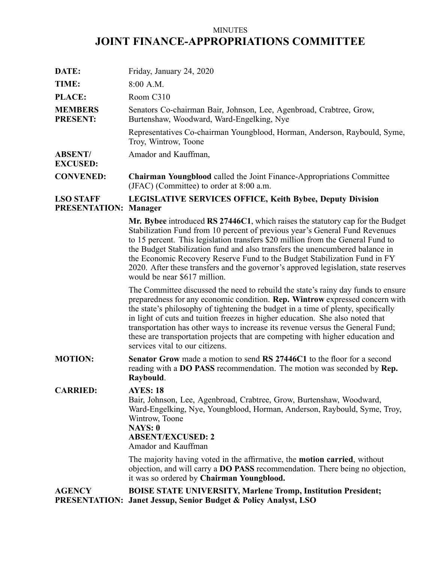# MINUTES **JOINT FINANCE-APPROPRIATIONS COMMITTEE**

| DATE:                             | Friday, January 24, 2020                                                                                                                                                                                                                                                                                                                                                                                                                                                                                                                       |
|-----------------------------------|------------------------------------------------------------------------------------------------------------------------------------------------------------------------------------------------------------------------------------------------------------------------------------------------------------------------------------------------------------------------------------------------------------------------------------------------------------------------------------------------------------------------------------------------|
| TIME:                             | 8:00 A.M.                                                                                                                                                                                                                                                                                                                                                                                                                                                                                                                                      |
| PLACE:                            | Room C310                                                                                                                                                                                                                                                                                                                                                                                                                                                                                                                                      |
| <b>MEMBERS</b><br><b>PRESENT:</b> | Senators Co-chairman Bair, Johnson, Lee, Agenbroad, Crabtree, Grow,<br>Burtenshaw, Woodward, Ward-Engelking, Nye                                                                                                                                                                                                                                                                                                                                                                                                                               |
|                                   | Representatives Co-chairman Youngblood, Horman, Anderson, Raybould, Syme,<br>Troy, Wintrow, Toone                                                                                                                                                                                                                                                                                                                                                                                                                                              |
| <b>ABSENT/</b><br><b>EXCUSED:</b> | Amador and Kauffman,                                                                                                                                                                                                                                                                                                                                                                                                                                                                                                                           |
| <b>CONVENED:</b>                  | Chairman Youngblood called the Joint Finance-Appropriations Committee<br>(JFAC) (Committee) to order at 8:00 a.m.                                                                                                                                                                                                                                                                                                                                                                                                                              |
| <b>LSO STAFF</b><br>PRESENTATION: | <b>LEGISLATIVE SERVICES OFFICE, Keith Bybee, Deputy Division</b><br><b>Manager</b>                                                                                                                                                                                                                                                                                                                                                                                                                                                             |
|                                   | Mr. Bybee introduced RS 27446C1, which raises the statutory cap for the Budget<br>Stabilization Fund from 10 percent of previous year's General Fund Revenues<br>to 15 percent. This legislation transfers \$20 million from the General Fund to<br>the Budget Stabilization fund and also transfers the unencumbered balance in<br>the Economic Recovery Reserve Fund to the Budget Stabilization Fund in FY<br>2020. After these transfers and the governor's approved legislation, state reserves<br>would be near \$617 million.           |
|                                   | The Committee discussed the need to rebuild the state's rainy day funds to ensure<br>preparedness for any economic condition. Rep. Wintrow expressed concern with<br>the state's philosophy of tightening the budget in a time of plenty, specifically<br>in light of cuts and tuition freezes in higher education. She also noted that<br>transportation has other ways to increase its revenue versus the General Fund;<br>these are transportation projects that are competing with higher education and<br>services vital to our citizens. |
| <b>MOTION:</b>                    | Senator Grow made a motion to send RS 27446C1 to the floor for a second<br>reading with a DO PASS recommendation. The motion was seconded by Rep.<br><b>Raybould</b>                                                                                                                                                                                                                                                                                                                                                                           |
| <b>CARRIED:</b>                   | <b>AYES: 18</b><br>Bair, Johnson, Lee, Agenbroad, Crabtree, Grow, Burtenshaw, Woodward,<br>Ward-Engelking, Nye, Youngblood, Horman, Anderson, Raybould, Syme, Troy,<br>Wintrow, Toone<br><b>NAYS: 0</b><br><b>ABSENT/EXCUSED: 2</b><br>Amador and Kauffman                                                                                                                                                                                                                                                                                     |
|                                   | The majority having voted in the affirmative, the <b>motion carried</b> , without<br>objection, and will carry a <b>DO PASS</b> recommendation. There being no objection,<br>it was so ordered by Chairman Youngblood.                                                                                                                                                                                                                                                                                                                         |
| <b>AGENCY</b>                     | <b>BOISE STATE UNIVERSITY, Marlene Tromp, Institution President;</b><br><b>PRESENTATION: Janet Jessup, Senior Budget &amp; Policy Analyst, LSO</b>                                                                                                                                                                                                                                                                                                                                                                                             |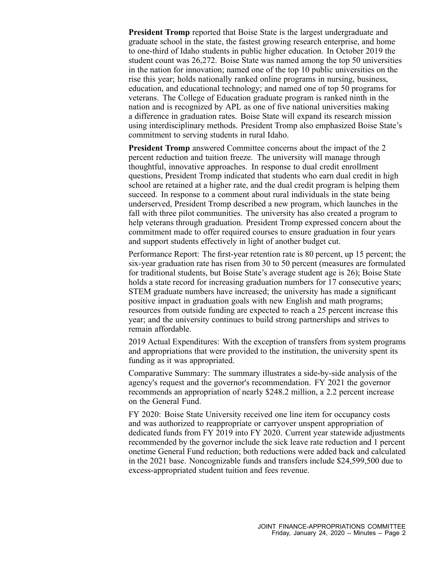**President Tromp** reported that Boise State is the largest undergraduate and graduate school in the state, the fastest growing research enterprise, and home to one-third of Idaho students in public higher education. In October 2019 the student count was 26,272. Boise State was named among the top 50 universities in the nation for innovation; named one of the top 10 public universities on the rise this year; holds nationally ranked online programs in nursing, business, education, and educational technology; and named one of top 50 programs for veterans. The College of Education graduate program is ranked ninth in the nation and is recognized by APL as one of five national universities making <sup>a</sup> difference in graduation rates. Boise State will expand its research mission using interdisciplinary methods. President Tromp also emphasized Boise State's commitment to serving students in rural Idaho.

**President Tromp** answered Committee concerns about the impact of the 2 percen<sup>t</sup> reduction and tuition freeze. The university will manage through thoughtful, innovative approaches. In response to dual credit enrollment questions, President Tromp indicated that students who earn dual credit in high school are retained at <sup>a</sup> higher rate, and the dual credit program is helping them succeed. In response to <sup>a</sup> comment about rural individuals in the state being underserved, President Tromp described <sup>a</sup> new program, which launches in the fall with three pilot communities. The university has also created <sup>a</sup> program to help veterans through graduation. President Tromp expressed concern about the commitment made to offer required courses to ensure graduation in four years and suppor<sup>t</sup> students effectively in light of another budget cut.

Performance Report: The first-year retention rate is 80 percent, up 15 percent; the six-year graduation rate has risen from 30 to 50 percen<sup>t</sup> (measures are formulated for traditional students, but Boise State's average student age is 26); Boise State holds a state record for increasing graduation numbers for 17 consecutive years; STEM graduate numbers have increased; the university has made <sup>a</sup> significant positive impact in graduation goals with new English and math programs; resources from outside funding are expected to reach <sup>a</sup> 25 percen<sup>t</sup> increase this year; and the university continues to build strong partnerships and strives to remain affordable.

2019 Actual Expenditures: With the exception of transfers from system programs and appropriations that were provided to the institution, the university spen<sup>t</sup> its funding as it was appropriated.

Comparative Summary: The summary illustrates <sup>a</sup> side-by-side analysis of the agency's reques<sup>t</sup> and the governor's recommendation. FY 2021 the governor recommends an appropriation of nearly \$248.2 million, <sup>a</sup> 2.2 percen<sup>t</sup> increase on the General Fund.

FY 2020: Boise State University received one line item for occupancy costs and was authorized to reappropriate or carryover unspen<sup>t</sup> appropriation of dedicated funds from FY 2019 into FY 2020. Current year statewide adjustments recommended by the governor include the sick leave rate reduction and 1 percen<sup>t</sup> onetime General Fund reduction; both reductions were added back and calculated in the 2021 base. Noncognizable funds and transfers include \$24,599,500 due to excess-appropriated student tuition and fees revenue.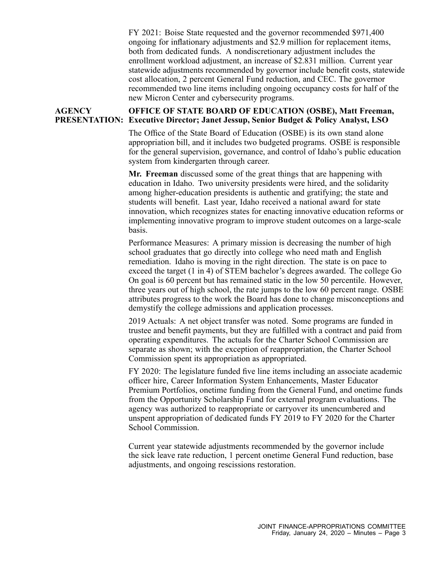FY 2021: Boise State requested and the governor recommended \$971,400 ongoing for inflationary adjustments and \$2.9 million for replacement items, both from dedicated funds. A nondiscretionary adjustment includes the enrollment workload adjustment, an increase of \$2.831 million. Current year statewide adjustments recommended by governor include benefit costs, statewide cost allocation, 2 percen<sup>t</sup> General Fund reduction, and CEC. The governor recommended two line items including ongoing occupancy costs for half of the new Micron Center and cybersecurity programs.

### **AGENCY PRESENTATION: Executive Director; Janet Jessup, Senior Budget & Policy Analyst, LSO OFFICE OF STATE BOARD OF EDUCATION (OSBE), Matt Freeman,**

The Office of the State Board of Education (OSBE) is its own stand alone appropriation bill, and it includes two budgeted programs. OSBE is responsible for the general supervision, governance, and control of Idaho's public education system from kindergarten through career.

**Mr. Freeman** discussed some of the grea<sup>t</sup> things that are happening with education in Idaho. Two university presidents were hired, and the solidarity among higher-education presidents is authentic and gratifying; the state and students will benefit. Last year, Idaho received <sup>a</sup> national award for state innovation, which recognizes states for enacting innovative education reforms or implementing innovative program to improve student outcomes on <sup>a</sup> large-scale basis.

Performance Measures: A primary mission is decreasing the number of high school graduates that go directly into college who need math and English remediation. Idaho is moving in the right direction. The state is on pace to exceed the target (1 in 4) of STEM bachelor's degrees awarded. The college Go On goal is 60 percen<sup>t</sup> but has remained static in the low 50 percentile. However, three years out of high school, the rate jumps to the low 60 percen<sup>t</sup> range. OSBE attributes progress to the work the Board has done to change misconceptions and demystify the college admissions and application processes.

2019 Actuals: A net object transfer was noted. Some programs are funded in trustee and benefit payments, but they are fulfilled with <sup>a</sup> contract and paid from operating expenditures. The actuals for the Charter School Commission are separate as shown; with the exception of reappropriation, the Charter School Commission spen<sup>t</sup> its appropriation as appropriated.

FY 2020: The legislature funded five line items including an associate academic officer hire, Career Information System Enhancements, Master Educator Premium Portfolios, onetime funding from the General Fund, and onetime funds from the Opportunity Scholarship Fund for external program evaluations. The agency was authorized to reappropriate or carryover its unencumbered and unspen<sup>t</sup> appropriation of dedicated funds FY 2019 to FY 2020 for the Charter School Commission.

Current year statewide adjustments recommended by the governor include the sick leave rate reduction, 1 percen<sup>t</sup> onetime General Fund reduction, base adjustments, and ongoing rescissions restoration.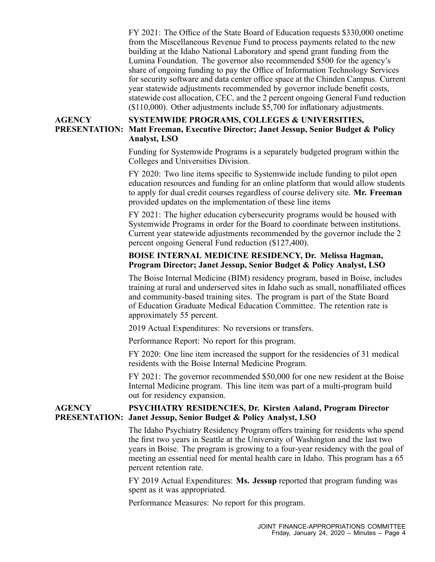FY 2021: The Office of the State Board of Education requests \$330,000 onetime from the Miscellaneous Revenue Fund to process payments related to the new building at the Idaho National Laboratory and spend gran<sup>t</sup> funding from the Lumina Foundation. The governor also recommended \$500 for the agency's share of ongoing funding to pay the Office of Information Technology Services for security software and data center office space at the Chinden Campus. Current year statewide adjustments recommended by governor include benefit costs, statewide cost allocation, CEC, and the 2 percen<sup>t</sup> ongoing General Fund reduction (\$110,000). Other adjustments include \$5,700 for inflationary adjustments.

### **AGENCY PRESENTATION: Matt Freeman, Executive Director; Janet Jessup, Senior Budget & Policy SYSTEMWIDE PROGRAMS, COLLEGES & UNIVERSITIES, Analyst, LSO**

Funding for Systemwide Programs is <sup>a</sup> separately budgeted program within the Colleges and Universities Division.

FY 2020: Two line items specific to Systemwide include funding to pilot open education resources and funding for an online platform that would allow students to apply for dual credit courses regardless of course delivery site. **Mr. Freeman** provided updates on the implementation of these line items

FY 2021: The higher education cybersecurity programs would be housed with Systemwide Programs in order for the Board to coordinate between institutions. Current year statewide adjustments recommended by the governor include the 2 percen<sup>t</sup> ongoing General Fund reduction (\$127,400).

# **BOISE INTERNAL MEDICINE RESIDENCY, Dr. Melissa Hagman, Program Director; Janet Jessup, Senior Budget & Policy Analyst, LSO**

The Boise Internal Medicine (BIM) residency program, based in Boise, includes training at rural and underserved sites in Idaho such as small, nonaffiliated offices and community-based training sites. The program is par<sup>t</sup> of the State Board of Education Graduate Medical Education Committee. The retention rate is approximately 55 percent.

2019 Actual Expenditures: No reversions or transfers.

Performance Report: No repor<sup>t</sup> for this program.

FY 2020: One line item increased the suppor<sup>t</sup> for the residencies of 31 medical residents with the Boise Internal Medicine Program.

FY 2021: The governor recommended \$50,000 for one new resident at the Boise Internal Medicine program. This line item was par<sup>t</sup> of <sup>a</sup> multi-program build out for residency expansion.

### **AGENCY PRESENTATION: Janet Jessup, Senior Budget & Policy Analyst, LSO PSYCHIATRY RESIDENCIES, Dr. Kirsten Aaland, Program Director**

The Idaho Psychiatry Residency Program offers training for residents who spend the first two years in Seattle at the University of Washington and the last two years in Boise. The program is growing to <sup>a</sup> four-year residency with the goal of meeting an essential need for mental health care in Idaho. This program has <sup>a</sup> 65 percen<sup>t</sup> retention rate.

FY 2019 Actual Expenditures: **Ms. Jessup** reported that program funding was spen<sup>t</sup> as it was appropriated.

Performance Measures: No repor<sup>t</sup> for this program.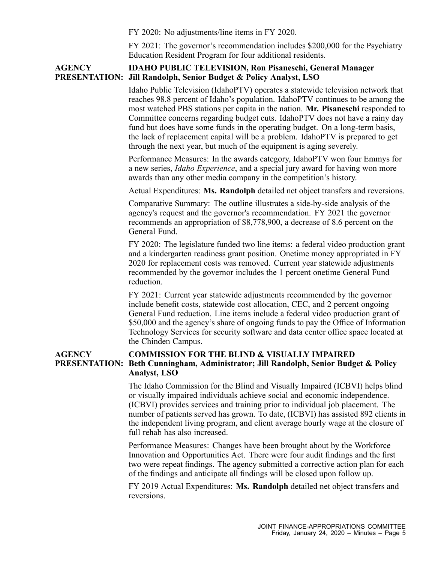FY 2020: No adjustments/line items in FY 2020.

FY 2021: The governor's recommendation includes \$200,000 for the Psychiatry Education Resident Program for four additional residents.

### **AGENCY PRESENTATION: Jill Randolph, Senior Budget & Policy Analyst, LSO IDAHO PUBLIC TELEVISION, Ron Pisaneschi, General Manager**

Idaho Public Television (IdahoPTV) operates <sup>a</sup> statewide television network that reaches 98.8 percen<sup>t</sup> of Idaho's population. IdahoPTV continues to be among the most watched PBS stations per capita in the nation. **Mr. Pisaneschi** responded to Committee concerns regarding budget cuts. IdahoPTV does not have <sup>a</sup> rainy day fund but does have some funds in the operating budget. On <sup>a</sup> long-term basis, the lack of replacement capital will be <sup>a</sup> problem. IdahoPTV is prepared to ge<sup>t</sup> through the next year, but much of the equipment is aging severely.

Performance Measures: In the awards category, IdahoPTV won four Emmys for <sup>a</sup> new series, *Idaho Experience*, and <sup>a</sup> special jury award for having won more awards than any other media company in the competition's history.

Actual Expenditures: **Ms. Randolph** detailed net object transfers and reversions.

Comparative Summary: The outline illustrates <sup>a</sup> side-by-side analysis of the agency's reques<sup>t</sup> and the governor's recommendation. FY 2021 the governor recommends an appropriation of \$8,778,900, <sup>a</sup> decrease of 8.6 percen<sup>t</sup> on the General Fund.

FY 2020: The legislature funded two line items: <sup>a</sup> federal video production gran<sup>t</sup> and <sup>a</sup> kindergarten readiness gran<sup>t</sup> position. Onetime money appropriated in FY 2020 for replacement costs was removed. Current year statewide adjustments recommended by the governor includes the 1 percen<sup>t</sup> onetime General Fund reduction.

FY 2021: Current year statewide adjustments recommended by the governor include benefit costs, statewide cost allocation, CEC, and 2 percen<sup>t</sup> ongoing General Fund reduction. Line items include <sup>a</sup> federal video production gran<sup>t</sup> of \$50,000 and the agency's share of ongoing funds to pay the Office of Information Technology Services for security software and data center office space located at the Chinden Campus.

## **AGENCY PRESENTATION: Beth Cunningham, Administrator; Jill Randolph, Senior Budget & Policy COMMISSION FOR THE BLIND & VISUALLY IMPAIRED Analyst, LSO**

The Idaho Commission for the Blind and Visually Impaired (ICBVI) helps blind or visually impaired individuals achieve social and economic independence. (ICBVI) provides services and training prior to individual job placement. The number of patients served has grown. To date, (ICBVI) has assisted 892 clients in the independent living program, and client average hourly wage at the closure of full rehab has also increased.

Performance Measures: Changes have been brought about by the Workforce Innovation and Opportunities Act. There were four audit findings and the first two were repea<sup>t</sup> findings. The agency submitted <sup>a</sup> corrective action plan for each of the findings and anticipate all findings will be closed upon follow up.

FY 2019 Actual Expenditures: **Ms. Randolph** detailed net object transfers and reversions.